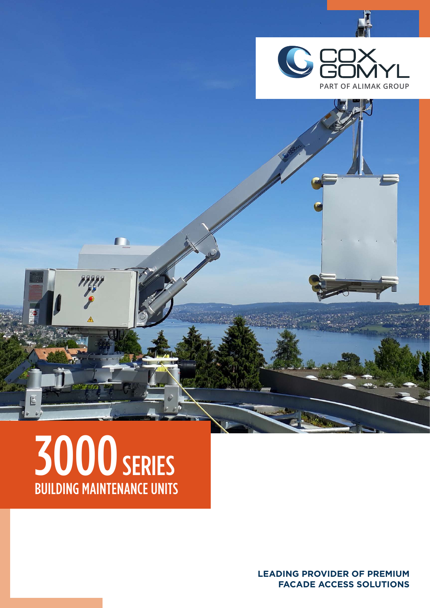

# 3000 SERIES BUILDING MAINTENANCE UNITS

Ľ

m

**LEADING PROVIDER OF PREMIUM FACADE ACCESS SOLUTIONS**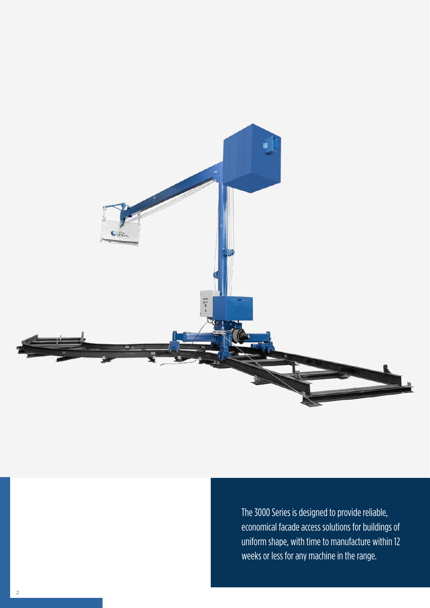

The 3000 Series is designed to provide reliable, economical facade access solutions for buildings of uniform shape, with time to manufacture within 12 weeks or less for any machine in the range.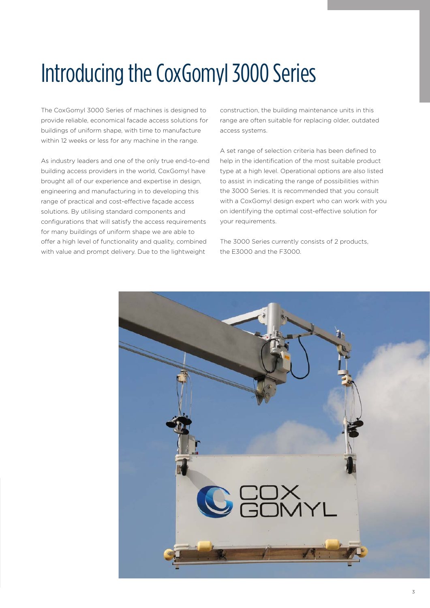### Introducing the CoxGomyl 3000 Series

The CoxGomyl 3000 Series of machines is designed to provide reliable, economical facade access solutions for buildings of uniform shape, with time to manufacture within 12 weeks or less for any machine in the range.

As industry leaders and one of the only true end-to-end building access providers in the world, CoxGomyl have brought all of our experience and expertise in design, engineering and manufacturing in to developing this range of practical and cost-effective façade access solutions. By utilising standard components and configurations that will satisfy the access requirements for many buildings of uniform shape we are able to offer a high level of functionality and quality, combined with value and prompt delivery. Due to the lightweight

construction, the building maintenance units in this range are often suitable for replacing older, outdated access systems.

A set range of selection criteria has been defined to help in the identification of the most suitable product type at a high level. Operational options are also listed to assist in indicating the range of possibilities within the 3000 Series. It is recommended that you consult with a CoxGomyl design expert who can work with you on identifying the optimal cost-effective solution for your requirements.

The 3000 Series currently consists of 2 products, the E3000 and the F3000.

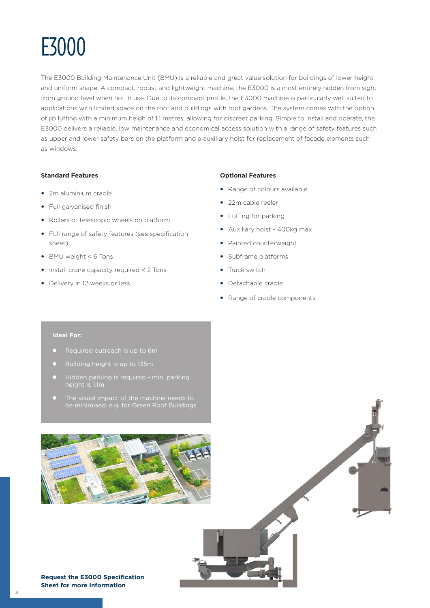

The E3000 Building Maintenance Unit (BMU) is a reliable and great value solution for buildings of lower height and uniform shape. A compact, robust and lightweight machine, the E3000 is almost entirely hidden from sight from ground level when not in use. Due to its compact profile, the E3000 machine is particularly well suited to applications with limited space on the roof and buildings with roof gardens. The system comes with the option of jib luffing with a minimum heigh of 1.1 metres, allowing for discreet parking. Simple to install and operate, the E3000 delivers a reliable, low maintenance and economical access solution with a range of safety features such as upper and lower safety bars on the platform and a auxiliary hoist for replacement of facade elements such as windows.

#### **Standard Features**

- 2m aluminium cradle
- Full galvanised finish
- Rollers or telescopic wheels on platform
- Full range of safety features (see specification sheet)
- BMU weight < 6 Tons
- $\bullet$  Install crane capacity required < 2 Tons
- Delivery in 12 weeks or less

#### **Optional Features**

- Range of colours available
- 22m cable reeler
- Luffing for parking
- Auxiliary hoist 400kg max
- Painted counterweight
- Subframe platforms
- $\bullet$  Track switch
- Detachable cradle
- Range of cradle components

#### **Ideal For:**

- 
- 
- Hidden parking is required min. parking
- 





**Request the E3000 Specification Sheet for more information**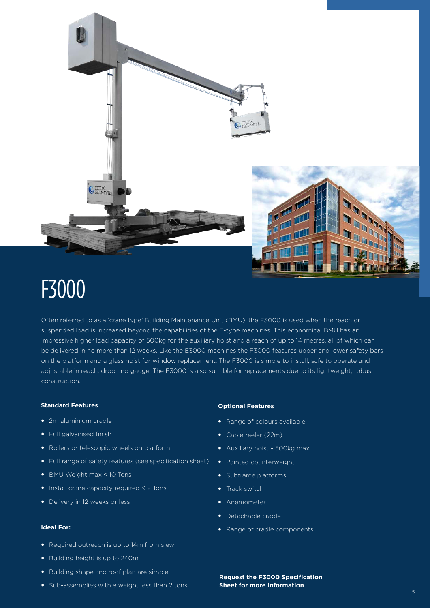

### F3000

Often referred to as a 'crane type' Building Maintenance Unit (BMU), the F3000 is used when the reach or suspended load is increased beyond the capabilities of the E-type machines. This economical BMU has an impressive higher load capacity of 500kg for the auxiliary hoist and a reach of up to 14 metres, all of which can be delivered in no more than 12 weeks. Like the E3000 machines the F3000 features upper and lower safety bars on the platform and a glass hoist for window replacement. The F3000 is simple to install, safe to operate and adjustable in reach, drop and gauge. The F3000 is also suitable for replacements due to its lightweight, robust construction.

#### **Standard Features**

- 2m aluminium cradle
- Full galvanised finish
- Rollers or telescopic wheels on platform
- Full range of safety features (see specification sheet)
- BMU Weight max < 10 Tons
- $\bullet$  Install crane capacity required  $\leq$  2 Tons
- Delivery in 12 weeks or less

### **Ideal For:**

- Required outreach is up to 14m from slew
- Building height is up to 240m
- Building shape and roof plan are simple
- Sub-assemblies with a weight less than 2 tons

#### **Optional Features**

- Range of colours available
- Cable reeler (22m)
- Auxiliary hoist 500kg max
- Painted counterweight
- Subframe platforms
- Track switch
- Anemometer
- Detachable cradle
- Range of cradle components

**Request the F3000 Specification Sheet for more information**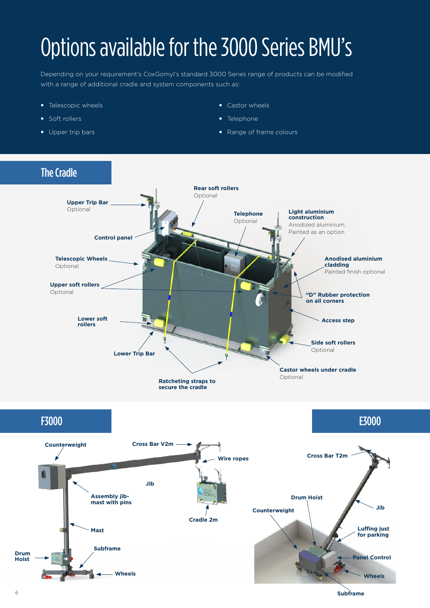### Options available for the 3000 Series BMU's

Depending on your requirement's CoxGomyl's standard 3000 Series range of products can be modified with a range of additional cradle and system components such as:

- Telescopic wheels
- Soft rollers
- Upper trip bars
- Castor wheels
- Telephone
- Range of frame colours

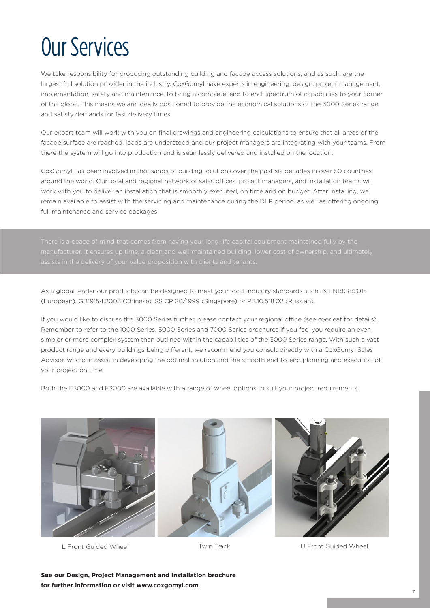## Our Services

We take responsibility for producing outstanding building and facade access solutions, and as such, are the largest full solution provider in the industry. CoxGomyl have experts in engineering, design, project management, implementation, safety and maintenance, to bring a complete 'end to end' spectrum of capabilities to your corner of the globe. This means we are ideally positioned to provide the economical solutions of the 3000 Series range and satisfy demands for fast delivery times.

Our expert team will work with you on final drawings and engineering calculations to ensure that all areas of the facade surface are reached, loads are understood and our project managers are integrating with your teams. From there the system will go into production and is seamlessly delivered and installed on the location.

CoxGomyl has been involved in thousands of building solutions over the past six decades in over 50 countries around the world. Our local and regional network of sales offices, project managers, and installation teams will work with you to deliver an installation that is smoothly executed, on time and on budget. After installing, we remain available to assist with the servicing and maintenance during the DLP period, as well as offering ongoing full maintenance and service packages.

As a global leader our products can be designed to meet your local industry standards such as EN1808:2015 (European), GB19154.2003 (Chinese), SS CP 20/1999 (Singapore) or PB.10.518.02 (Russian).

If you would like to discuss the 3000 Series further, please contact your regional office (see overleaf for details). Remember to refer to the 1000 Series, 5000 Series and 7000 Series brochures if you feel you require an even simpler or more complex system than outlined within the capabilities of the 3000 Series range. With such a vast product range and every buildings being different, we recommend you consult directly with a CoxGomyl Sales Advisor, who can assist in developing the optimal solution and the smooth end-to-end planning and execution of your project on time.

Both the E3000 and F3000 are available with a range of wheel options to suit your project requirements.







L Front Guided Wheel Twin Track U Front Guided Wheel